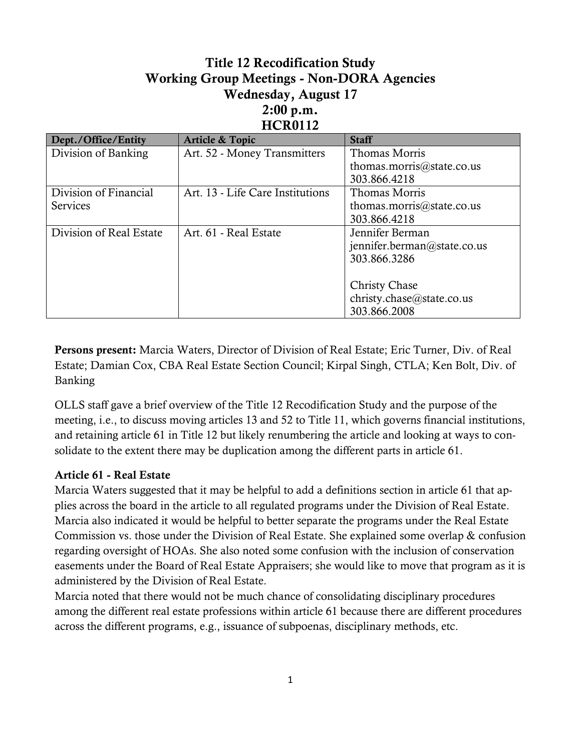## **Title 12 Recodification Study Working Group Meetings - Non-DORA Agencies Wednesday, August 17 2:00 p.m. HCR0112**

| Dept./Office/Entity     | <b>Article &amp; Topic</b>       | <b>Staff</b>                |
|-------------------------|----------------------------------|-----------------------------|
| Division of Banking     | Art. 52 - Money Transmitters     | Thomas Morris               |
|                         |                                  | thomas.morris@state.co.us   |
|                         |                                  | 303.866.4218                |
| Division of Financial   | Art. 13 - Life Care Institutions | Thomas Morris               |
| <b>Services</b>         |                                  | thomas.morris@state.co.us   |
|                         |                                  | 303.866.4218                |
| Division of Real Estate | Art. 61 - Real Estate            | Jennifer Berman             |
|                         |                                  | jennifer.berman@state.co.us |
|                         |                                  | 303.866.3286                |
|                         |                                  |                             |
|                         |                                  | <b>Christy Chase</b>        |
|                         |                                  | christy.chase@state.co.us   |
|                         |                                  | 303.866.2008                |

**Persons present:** Marcia Waters, Director of Division of Real Estate; Eric Turner, Div. of Real Estate; Damian Cox, CBA Real Estate Section Council; Kirpal Singh, CTLA; Ken Bolt, Div. of Banking

OLLS staff gave a brief overview of the Title 12 Recodification Study and the purpose of the meeting, i.e., to discuss moving articles 13 and 52 to Title 11, which governs financial institutions, and retaining article 61 in Title 12 but likely renumbering the article and looking at ways to consolidate to the extent there may be duplication among the different parts in article 61.

## **Article 61 - Real Estate**

Marcia Waters suggested that it may be helpful to add a definitions section in article 61 that applies across the board in the article to all regulated programs under the Division of Real Estate. Marcia also indicated it would be helpful to better separate the programs under the Real Estate Commission vs. those under the Division of Real Estate. She explained some overlap & confusion regarding oversight of HOAs. She also noted some confusion with the inclusion of conservation easements under the Board of Real Estate Appraisers; she would like to move that program as it is administered by the Division of Real Estate.

Marcia noted that there would not be much chance of consolidating disciplinary procedures among the different real estate professions within article 61 because there are different procedures across the different programs, e.g., issuance of subpoenas, disciplinary methods, etc.